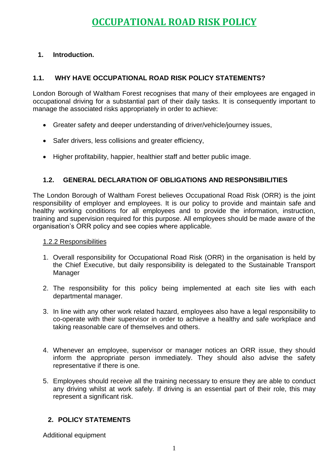# **OCCUPATIONAL ROAD RISK POLICY**

# **1. Introduction.**

# **1.1. WHY HAVE OCCUPATIONAL ROAD RISK POLICY STATEMENTS?**

London Borough of Waltham Forest recognises that many of their employees are engaged in occupational driving for a substantial part of their daily tasks. It is consequently important to manage the associated risks appropriately in order to achieve:

- Greater safety and deeper understanding of driver/vehicle/journey issues,
- Safer drivers, less collisions and greater efficiency,
- Higher profitability, happier, healthier staff and better public image.

# **1.2. GENERAL DECLARATION OF OBLIGATIONS AND RESPONSIBILITIES**

The London Borough of Waltham Forest believes Occupational Road Risk (ORR) is the joint responsibility of employer and employees. It is our policy to provide and maintain safe and healthy working conditions for all employees and to provide the information, instruction, training and supervision required for this purpose. All employees should be made aware of the organisation's ORR policy and see copies where applicable.

## 1.2.2 Responsibilities

- 1. Overall responsibility for Occupational Road Risk (ORR) in the organisation is held by the Chief Executive, but daily responsibility is delegated to the Sustainable Transport Manager
- 2. The responsibility for this policy being implemented at each site lies with each departmental manager.
- 3. In line with any other work related hazard, employees also have a legal responsibility to co-operate with their supervisor in order to achieve a healthy and safe workplace and taking reasonable care of themselves and others.
- 4. Whenever an employee, supervisor or manager notices an ORR issue, they should inform the appropriate person immediately. They should also advise the safety representative if there is one.
- 5. Employees should receive all the training necessary to ensure they are able to conduct any driving whilst at work safely. If driving is an essential part of their role, this may represent a significant risk.

# **2. POLICY STATEMENTS**

Additional equipment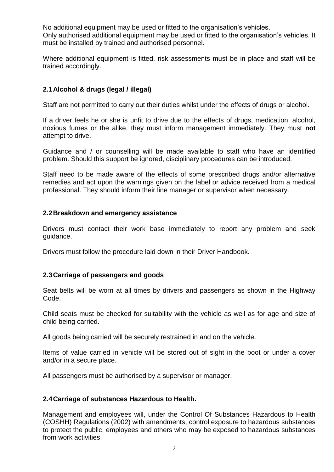No additional equipment may be used or fitted to the organisation's vehicles. Only authorised additional equipment may be used or fitted to the organisation's vehicles. It must be installed by trained and authorised personnel.

Where additional equipment is fitted, risk assessments must be in place and staff will be trained accordingly.

## **2.1Alcohol & drugs (legal / illegal)**

Staff are not permitted to carry out their duties whilst under the effects of drugs or alcohol.

If a driver feels he or she is unfit to drive due to the effects of drugs, medication, alcohol, noxious fumes or the alike, they must inform management immediately. They must **not**  attempt to drive.

Guidance and / or counselling will be made available to staff who have an identified problem. Should this support be ignored, disciplinary procedures can be introduced.

Staff need to be made aware of the effects of some prescribed drugs and/or alternative remedies and act upon the warnings given on the label or advice received from a medical professional. They should inform their line manager or supervisor when necessary.

#### **2.2Breakdown and emergency assistance**

Drivers must contact their work base immediately to report any problem and seek guidance.

Drivers must follow the procedure laid down in their Driver Handbook.

#### **2.3Carriage of passengers and goods**

Seat belts will be worn at all times by drivers and passengers as shown in the Highway Code.

Child seats must be checked for suitability with the vehicle as well as for age and size of child being carried.

All goods being carried will be securely restrained in and on the vehicle.

Items of value carried in vehicle will be stored out of sight in the boot or under a cover and/or in a secure place.

All passengers must be authorised by a supervisor or manager.

#### **2.4Carriage of substances Hazardous to Health.**

Management and employees will, under the Control Of Substances Hazardous to Health (COSHH) Regulations (2002) with amendments, control exposure to hazardous substances to protect the public, employees and others who may be exposed to hazardous substances from work activities.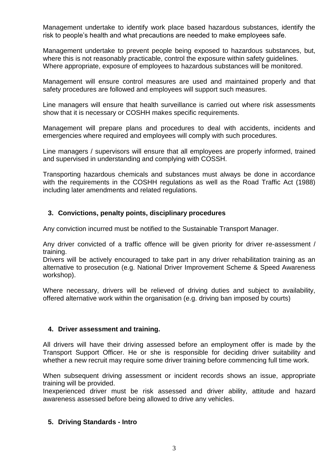Management undertake to identify work place based hazardous substances, identify the risk to people's health and what precautions are needed to make employees safe.

Management undertake to prevent people being exposed to hazardous substances, but, where this is not reasonably practicable, control the exposure within safety guidelines. Where appropriate, exposure of employees to hazardous substances will be monitored.

Management will ensure control measures are used and maintained properly and that safety procedures are followed and employees will support such measures.

Line managers will ensure that health surveillance is carried out where risk assessments show that it is necessary or COSHH makes specific requirements.

Management will prepare plans and procedures to deal with accidents, incidents and emergencies where required and employees will comply with such procedures.

Line managers / supervisors will ensure that all employees are properly informed, trained and supervised in understanding and complying with COSSH.

Transporting hazardous chemicals and substances must always be done in accordance with the requirements in the COSHH regulations as well as the Road Traffic Act (1988) including later amendments and related regulations.

#### **3. Convictions, penalty points, disciplinary procedures**

Any conviction incurred must be notified to the Sustainable Transport Manager.

Any driver convicted of a traffic offence will be given priority for driver re-assessment / training.

Drivers will be actively encouraged to take part in any driver rehabilitation training as an alternative to prosecution (e.g. National Driver Improvement Scheme & Speed Awareness workshop).

Where necessary, drivers will be relieved of driving duties and subject to availability, offered alternative work within the organisation (e.g. driving ban imposed by courts)

#### **4. Driver assessment and training.**

All drivers will have their driving assessed before an employment offer is made by the Transport Support Officer. He or she is responsible for deciding driver suitability and whether a new recruit may require some driver training before commencing full time work.

When subsequent driving assessment or incident records shows an issue, appropriate training will be provided.

Inexperienced driver must be risk assessed and driver ability, attitude and hazard awareness assessed before being allowed to drive any vehicles.

#### **5. Driving Standards - Intro**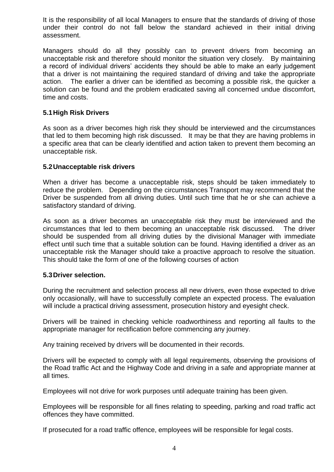It is the responsibility of all local Managers to ensure that the standards of driving of those under their control do not fall below the standard achieved in their initial driving assessment.

Managers should do all they possibly can to prevent drivers from becoming an unacceptable risk and therefore should monitor the situation very closely. By maintaining a record of individual drivers' accidents they should be able to make an early judgement that a driver is not maintaining the required standard of driving and take the appropriate action. The earlier a driver can be identified as becoming a possible risk, the quicker a solution can be found and the problem eradicated saving all concerned undue discomfort, time and costs.

## **5.1High Risk Drivers**

As soon as a driver becomes high risk they should be interviewed and the circumstances that led to them becoming high risk discussed. It may be that they are having problems in a specific area that can be clearly identified and action taken to prevent them becoming an unacceptable risk.

#### **5.2Unacceptable risk drivers**

When a driver has become a unacceptable risk, steps should be taken immediately to reduce the problem. Depending on the circumstances Transport may recommend that the Driver be suspended from all driving duties. Until such time that he or she can achieve a satisfactory standard of driving.

As soon as a driver becomes an unacceptable risk they must be interviewed and the circumstances that led to them becoming an unacceptable risk discussed. The driver should be suspended from all driving duties by the divisional Manager with immediate effect until such time that a suitable solution can be found. Having identified a driver as an unacceptable risk the Manager should take a proactive approach to resolve the situation. This should take the form of one of the following courses of action

#### **5.3Driver selection.**

During the recruitment and selection process all new drivers, even those expected to drive only occasionally, will have to successfully complete an expected process. The evaluation will include a practical driving assessment, prosecution history and eyesight check.

Drivers will be trained in checking vehicle roadworthiness and reporting all faults to the appropriate manager for rectification before commencing any journey.

Any training received by drivers will be documented in their records.

Drivers will be expected to comply with all legal requirements, observing the provisions of the Road traffic Act and the Highway Code and driving in a safe and appropriate manner at all times.

Employees will not drive for work purposes until adequate training has been given.

Employees will be responsible for all fines relating to speeding, parking and road traffic act offences they have committed.

If prosecuted for a road traffic offence, employees will be responsible for legal costs.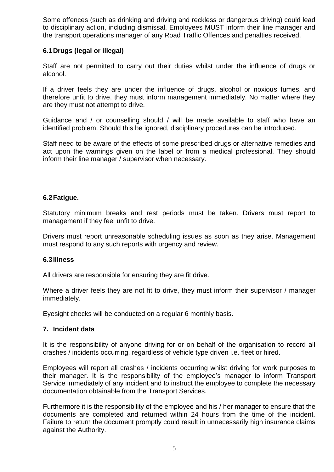Some offences (such as drinking and driving and reckless or dangerous driving) could lead to disciplinary action, including dismissal. Employees MUST inform their line manager and the transport operations manager of any Road Traffic Offences and penalties received.

## **6.1Drugs (legal or illegal)**

Staff are not permitted to carry out their duties whilst under the influence of drugs or alcohol.

If a driver feels they are under the influence of drugs, alcohol or noxious fumes, and therefore unfit to drive, they must inform management immediately. No matter where they are they must not attempt to drive.

Guidance and / or counselling should / will be made available to staff who have an identified problem. Should this be ignored, disciplinary procedures can be introduced.

Staff need to be aware of the effects of some prescribed drugs or alternative remedies and act upon the warnings given on the label or from a medical professional. They should inform their line manager / supervisor when necessary.

#### **6.2Fatigue.**

Statutory minimum breaks and rest periods must be taken. Drivers must report to management if they feel unfit to drive.

Drivers must report unreasonable scheduling issues as soon as they arise. Management must respond to any such reports with urgency and review.

#### **6.3Illness**

All drivers are responsible for ensuring they are fit drive.

Where a driver feels they are not fit to drive, they must inform their supervisor / manager immediately.

Eyesight checks will be conducted on a regular 6 monthly basis.

#### **7. Incident data**

It is the responsibility of anyone driving for or on behalf of the organisation to record all crashes / incidents occurring, regardless of vehicle type driven i.e. fleet or hired.

Employees will report all crashes / incidents occurring whilst driving for work purposes to their manager. It is the responsibility of the employee's manager to inform Transport Service immediately of any incident and to instruct the employee to complete the necessary documentation obtainable from the Transport Services.

Furthermore it is the responsibility of the employee and his / her manager to ensure that the documents are completed and returned within 24 hours from the time of the incident. Failure to return the document promptly could result in unnecessarily high insurance claims against the Authority.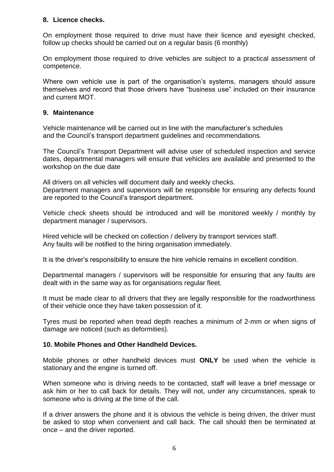## **8. Licence checks.**

On employment those required to drive must have their licence and eyesight checked, follow up checks should be carried out on a regular basis (6 monthly)

On employment those required to drive vehicles are subject to a practical assessment of competence.

Where own vehicle use is part of the organisation's systems, managers should assure themselves and record that those drivers have "business use" included on their insurance and current MOT.

#### **9. Maintenance**

Vehicle maintenance will be carried out in line with the manufacturer's schedules and the Council's transport department guidelines and recommendations.

The Council's Transport Department will advise user of scheduled inspection and service dates, departmental managers will ensure that vehicles are available and presented to the workshop on the due date

All drivers on all vehicles will document daily and weekly checks.

Department managers and supervisors will be responsible for ensuring any defects found are reported to the Council's transport department.

Vehicle check sheets should be introduced and will be monitored weekly / monthly by department manager / supervisors.

Hired vehicle will be checked on collection / delivery by transport services staff. Any faults will be notified to the hiring organisation immediately.

It is the driver's responsibility to ensure the hire vehicle remains in excellent condition.

Departmental managers / supervisors will be responsible for ensuring that any faults are dealt with in the same way as for organisations regular fleet.

It must be made clear to all drivers that they are legally responsible for the roadworthiness of their vehicle once they have taken possession of it.

Tyres must be reported when tread depth reaches a minimum of 2-mm or when signs of damage are noticed (such as deformities).

#### **10. Mobile Phones and Other Handheld Devices.**

Mobile phones or other handheld devices must **ONLY** be used when the vehicle is stationary and the engine is turned off.

When someone who is driving needs to be contacted, staff will leave a brief message or ask him or her to call back for details. They will not, under any circumstances, speak to someone who is driving at the time of the call.

If a driver answers the phone and it is obvious the vehicle is being driven, the driver must be asked to stop when convenient and call back. The call should then be terminated at once – and the driver reported.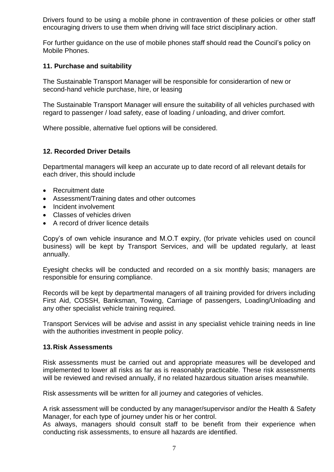Drivers found to be using a mobile phone in contravention of these policies or other staff encouraging drivers to use them when driving will face strict disciplinary action.

For further guidance on the use of mobile phones staff should read the Council's policy on Mobile Phones.

#### **11. Purchase and suitability**

The Sustainable Transport Manager will be responsible for considerartion of new or second-hand vehicle purchase, hire, or leasing

The Sustainable Transport Manager will ensure the suitability of all vehicles purchased with regard to passenger / load safety, ease of loading / unloading, and driver comfort.

Where possible, alternative fuel options will be considered.

#### **12. Recorded Driver Details**

Departmental managers will keep an accurate up to date record of all relevant details for each driver, this should include

- Recruitment date
- Assessment/Training dates and other outcomes
- Incident involvement
- Classes of vehicles driven
- A record of driver licence details

Copy's of own vehicle insurance and M.O.T expiry, (for private vehicles used on council business) will be kept by Transport Services, and will be updated regularly, at least annually.

Eyesight checks will be conducted and recorded on a six monthly basis; managers are responsible for ensuring compliance.

Records will be kept by departmental managers of all training provided for drivers including First Aid, COSSH, Banksman, Towing, Carriage of passengers, Loading/Unloading and any other specialist vehicle training required.

Transport Services will be advise and assist in any specialist vehicle training needs in line with the authorities investment in people policy.

#### **13.Risk Assessments**

Risk assessments must be carried out and appropriate measures will be developed and implemented to lower all risks as far as is reasonably practicable. These risk assessments will be reviewed and revised annually, if no related hazardous situation arises meanwhile.

Risk assessments will be written for all journey and categories of vehicles.

A risk assessment will be conducted by any manager/supervisor and/or the Health & Safety Manager, for each type of journey under his or her control.

As always, managers should consult staff to be benefit from their experience when conducting risk assessments, to ensure all hazards are identified.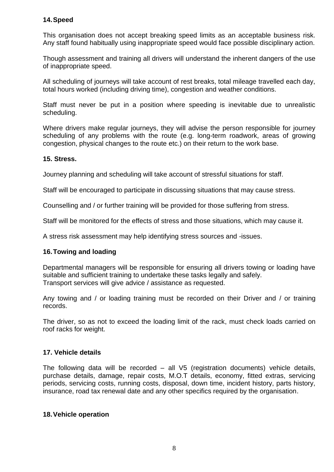#### **14.Speed**

This organisation does not accept breaking speed limits as an acceptable business risk. Any staff found habitually using inappropriate speed would face possible disciplinary action.

Though assessment and training all drivers will understand the inherent dangers of the use of inappropriate speed.

All scheduling of journeys will take account of rest breaks, total mileage travelled each day, total hours worked (including driving time), congestion and weather conditions.

Staff must never be put in a position where speeding is inevitable due to unrealistic scheduling.

Where drivers make regular journeys, they will advise the person responsible for journey scheduling of any problems with the route (e.g. long-term roadwork, areas of growing congestion, physical changes to the route etc.) on their return to the work base.

#### **15. Stress.**

Journey planning and scheduling will take account of stressful situations for staff.

Staff will be encouraged to participate in discussing situations that may cause stress.

Counselling and / or further training will be provided for those suffering from stress.

Staff will be monitored for the effects of stress and those situations, which may cause it.

A stress risk assessment may help identifying stress sources and -issues.

#### **16.Towing and loading**

Departmental managers will be responsible for ensuring all drivers towing or loading have suitable and sufficient training to undertake these tasks legally and safely. Transport services will give advice / assistance as requested.

Any towing and / or loading training must be recorded on their Driver and / or training records.

The driver, so as not to exceed the loading limit of the rack, must check loads carried on roof racks for weight.

#### **17. Vehicle details**

The following data will be recorded – all V5 (registration documents) vehicle details, purchase details, damage, repair costs, M.O.T details, economy, fitted extras, servicing periods, servicing costs, running costs, disposal, down time, incident history, parts history, insurance, road tax renewal date and any other specifics required by the organisation.

#### **18.Vehicle operation**